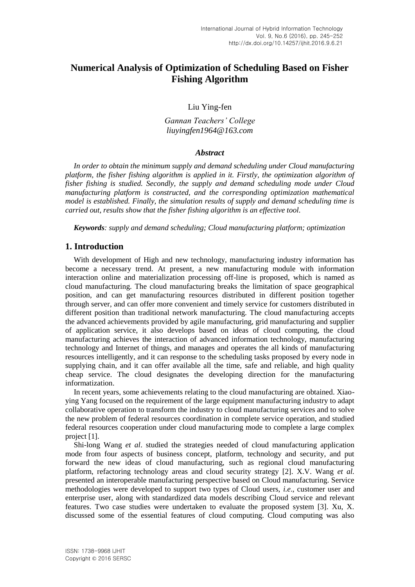# **Numerical Analysis of Optimization of Scheduling Based on Fisher Fishing Algorithm**

Liu Ying-fen

*Gannan Teachers' College liuyingfen1964@163.com*

#### *Abstract*

*In order to obtain the minimum supply and demand scheduling under Cloud manufacturing platform, the fisher fishing algorithm is applied in it. Firstly, the optimization algorithm of fisher fishing is studied. Secondly, the supply and demand scheduling mode under Cloud manufacturing platform is constructed, and the corresponding optimization mathematical model is established. Finally, the simulation results of supply and demand scheduling time is carried out, results show that the fisher fishing algorithm is an effective tool.*

*Keywords: supply and demand scheduling; Cloud manufacturing platform; optimization*

#### **1. Introduction**

With development of High and new technology, manufacturing industry information has become a necessary trend. At present, a new manufacturing module with information interaction online and materialization processing off-line is proposed, which is named as cloud manufacturing. The cloud manufacturing breaks the limitation of space geographical position, and can get manufacturing resources distributed in different position together through server, and can offer more convenient and timely service for customers distributed in different position than traditional network manufacturing. The cloud manufacturing accepts the advanced achievements provided by agile manufacturing, grid manufacturing and supplier of application service, it also develops based on ideas of cloud computing, the cloud manufacturing achieves the interaction of advanced information technology, manufacturing technology and Internet of things, and manages and operates the all kinds of manufacturing resources intelligently, and it can response to the scheduling tasks proposed by every node in supplying chain, and it can offer available all the time, safe and reliable, and high quality cheap service. The cloud designates the developing direction for the manufacturing informatization.

In recent years, some achievements relating to the cloud manufacturing are obtained. Xiaoying Yang focused on the requirement of the large equipment manufacturing industry to adapt collaborative operation to transform the industry to cloud manufacturing services and to solve the new problem of federal resources coordination in complete service operation, and studied federal resources cooperation under cloud manufacturing mode to complete a large complex project [1].

Shi-long Wang *et al*. studied the strategies needed of cloud manufacturing application mode from four aspects of business concept, platform, technology and security, and put forward the new ideas of cloud manufacturing, such as regional cloud manufacturing platform, refactoring technology areas and cloud security strategy [2]. X.V. Wang *et al.* presented an interoperable manufacturing perspective based on Cloud manufacturing. Service methodologies were developed to support two types of Cloud users, *i.e*., customer user and enterprise user, along with standardized data models describing Cloud service and relevant features. Two case studies were undertaken to evaluate the proposed system [3]. Xu, X. discussed some of the essential features of cloud computing. Cloud computing was also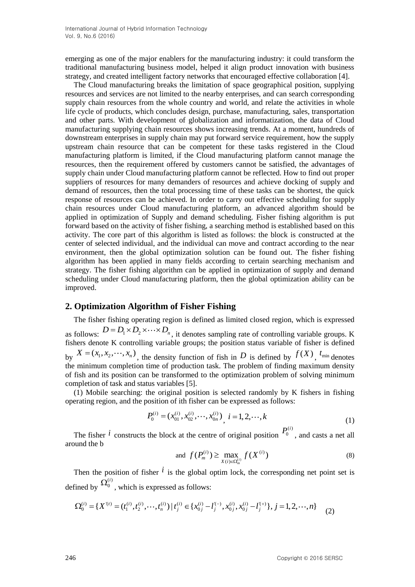emerging as one of the major enablers for the manufacturing industry: it could transform the traditional manufacturing business model, helped it align product innovation with business strategy, and created intelligent factory networks that encouraged effective collaboration [4].

The Cloud manufacturing breaks the limitation of space geographical position, supplying resources and services are not limited to the nearby enterprises, and can search corresponding supply chain resources from the whole country and world, and relate the activities in whole life cycle of products, which concludes design, purchase, manufacturing, sales, transportation and other parts. With development of globalization and informatization, the data of Cloud manufacturing supplying chain resources shows increasing trends. At a moment, hundreds of downstream enterprises in supply chain may put forward service requirement, how the supply upstream chain resource that can be competent for these tasks registered in the Cloud manufacturing platform is limited, if the Cloud manufacturing platform cannot manage the resources, then the requirement offered by customers cannot be satisfied, the advantages of supply chain under Cloud manufacturing platform cannot be reflected. How to find out proper suppliers of resources for many demanders of resources and achieve docking of supply and demand of resources, then the total processing time of these tasks can be shortest, the quick response of resources can be achieved. In order to carry out effective scheduling for supply chain resources under Cloud manufacturing platform, an advanced algorithm should be applied in optimization of Supply and demand scheduling. Fisher fishing algorithm is put forward based on the activity of fisher fishing, a searching method is established based on this activity. The core part of this algorithm is listed as follows: the block is constructed at the center of selected individual, and the individual can move and contract according to the near environment, then the global optimization solution can be found out. The fisher fishing algorithm has been applied in many fields according to certain searching mechanism and strategy. The fisher fishing algorithm can be applied in optimization of supply and demand scheduling under Cloud manufacturing platform, then the global optimization ability can be improved.

### **2. Optimization Algorithm of Fisher Fishing**

The fisher fishing operating region is defined as limited closed region, which is expressed as follows:  $D = D_1 \times D_2 \times \cdots \times D_n$ , it denotes sampling rate of controlling variable groups. K fishers denote K controlling variable groups; the position status variable of fisher is defined by  $X = (x_1, x_2, \dots, x_n)$ , the density function of fish in D is defined by  $f(X)$ ,  $t_{\min}$  denotes the minimum completion time of production task. The problem of finding maximum density of fish and its position can be transformed to the optimization problem of solving minimum completion of task and status variables [5].

(1) Mobile searching: the original position is selected randomly by K fishers in fishing operating region, and the position of ith fisher can be expressed as follows:

$$
P_0^{(i)} = (x_{01}^{(i)}, x_{02}^{(i)}, \cdots, x_{0n}^{(i)}) \, i = 1, 2, \cdots, k \tag{1}
$$

The fisher  $\hat{i}$  constructs the block at the centre of original position  $(i)$  $P_0^{(i)}$ , and casts a net all around the b

and 
$$
f(P_m^{(i)}) \ge \max_{X(i) \in \Omega_m^{(i)}} f(X^{(i)})
$$
 (8)

Then the position of fisher  $\hat{i}$  is the global optim lock, the corresponding net point set is defined by  $(i)$ ed by  $\Omega_0^{(i)}$ , which is expressed as follows:<br>  $\Omega_0^{(i)} = \{X^{(i)} = (t_1^{(i)}, t_2^{(i)}, \dots, t_n^{(i)}) \mid t_1^{(i)} \in \{x_0^{(i)} - l_1^{(-)}, x_0^{(i)}, x_0^{(i)} - l_1^{(+)}\}$ 

Then the position of their line fixed, the corresponding line points:

\n
$$
\Omega_0^{(i)} = \{X^{(i)} = (t_1^{(i)}, t_2^{(i)}, \dots, t_n^{(i)}) \mid t_j^{(i)} \in \{x_{0j}^{(i)} - l_j^{(-)}, x_{0j}^{(i)}, x_{0j}^{(i)} - l_j^{(+)}\}, j = 1, 2, \dots, n\}
$$
\n(2)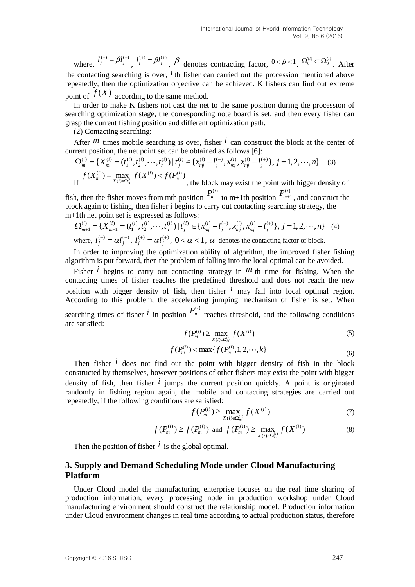where,  $l_j^{(-)} = \beta l_j^{(-)}$ ,  $l_j^{(+)} = \beta l_j^{(+)}$ ,  $\beta$  denotes contracting factor,  $0 < \beta < 1$ ,  $\Omega_0^{(i)} \subset \Omega_0^{(i)}$ . After the contacting searching is over,  $\hat{i}$  th fisher can carried out the procession mentioned above repeatedly, then the optimization objective can be achieved. K fishers can find out extreme point of  $f(X)$  according to the same method.

In order to make K fishers not cast the net to the same position during the procession of searching optimization stage, the corresponding note board is set, and then every fisher can grasp the current fishing position and different optimization path.

(2) Contacting searching:

After  $m$  times mobile searching is over, fisher  $i$  can construct the block at the center of current position, the net point set can be obtained as follows [6]: ter  $m$  times mobile searching is over, fisher  $\ell$  can construct<br>int position, the net point set can be obtained as follows [6]:<br> $\sum_{n=1}^{(i)} (X_n^{(i)} - (t_1^{(i)}, t_2^{(i)}, \dots, t_n^{(i)}) | t_i^{(i)} \in \{x_{ni}^{(i)} - l_1^{(-)}, x_{ni}^{(i)}, x_{ni}^{(i)} - l_1^{$ (2) Contacting searching:<br>After  $^m$  times mobile searching is over, fisher  $^i$  can construct the block at the cer<br>rent position, the net point set can be obtained as follows [6]:<br> $\Omega_m^{(i)} = \{X_m^{(i)} = (t_1^{(i)}, t_2^{(i)}, \dots, t_n^{($ 

$$
\Omega_m^{(i)} = \{ X_m^{(i)} = (t_1^{(i)}, t_2^{(i)}, \dots, t_n^{(i)}) \mid t_j^{(i)} \in \{ x_{mj}^{(i)} - l_j^{(-)}, x_{mj}^{(i)}, x_{mj}^{(i)} - l_j^{(+)} \}, j = 1, 2, \dots, n \}
$$
\n
$$
f(X_m^{(i)}) = \max_{X(i) \in \Omega_m^{(i)}} f(X^{(i)}) < f(P_m^{(i)})
$$
\n, the block may exist the point with bigger density of

fish, then the fisher moves from mth position  $P_m^{(i)}$  to m+1th position  $(i)$ 1, then the fisher moves from mth position  $P_m^{(i)}$  to m+1th position  $P_{m+1}^{(i)}$ , and construct the ck again to fishing, then fisher i begins to carry out contacting searching strategy, the 1th net point set is expresse block again to fishing, then fisher i begins to carry out contacting searching strategy, the m+1th net point set is expressed as follows:<br>  $\Omega_{m+1}^{(i)} = \{X_{m+1}^{(i)} = (t_1^{(i)}, t_2^{(i)}, \dots, t_n^{(i)}) | t_i^{(i)} \in \{x_{m}^{(i)} - l_1^{(i)}, x_{m}^{$ m+1th net point set is expressed as follows:

$$
\Omega_{m+1}^{(i)} = \{ X_{m+1}^{(i)} = (t_1^{(i)}, t_2^{(i)}, \cdots, t_n^{(i)}) \mid t_j^{(i)} \in \{ x_{mj}^{(i)} - l_j^{(-)}, x_{mj}^{(i)}, x_{mj}^{(i)} - l_j^{(+)} \}, j = 1, 2, \cdots, n \}
$$
(4)

where,  $l_j^{(-)} = \alpha l_j^{(-)}$ ,  $l_j^{(+)} = \alpha l_j^{(+)}$ ,  $0 < \alpha < 1$ ,  $\alpha$  denotes the contacting factor of block.

In order to improving the optimization ability of algorithm, the improved fisher fishing algorithm is put forward, then the problem of falling into the local optimal can be avoided.

Fisher  $\hat{i}$  begins to carry out contacting strategy in  $m$  th time for fishing. When the contacting times of fisher reaches the predefined threshold and does not reach the new position with bigger density of fish, then fisher *i* may fall into local optimal region. According to this problem, the accelerating jumping mechanism of fisher is set. When searching times of fisher  $i$  in position  $P_m^{(i)}$  reaches threshold, and the following conditions are satisfied:

$$
f(P_m^{(i)}) \ge \max_{X(i)\in\Omega_m^{(i)}} f(X^{(i)})
$$
\n(5)

$$
f(P_m^{(i)}) < \max\{f(P_m^{(i)}, 1, 2, \cdots, k\}
$$
\n(6)

Then fisher  $\hat{i}$  does not find out the point with bigger density of fish in the block constructed by themselves, however positions of other fishers may exist the point with bigger density of fish, then fisher  $\hat{i}$  jumps the current position quickly. A point is originated randomly in fishing region again, the mobile and contacting strategies are carried out repeatedly, if the following conditions are satisfied:

$$
f(P_m^{(i)}) \ge \max_{X(i) \in \Omega_m^{(i)}} f(X^{(i)})
$$
\n(7)

$$
f(P_m^{(i)}) \ge f(P_m^{(i)})
$$
 and  $f(P_m^{(i)}) \ge \max_{X(i)\in\Omega_m^{(i)}} f(X^{(i)})$  (8)

Then the position of fisher  $\hat{i}$  is the global optimal.

## **3. Supply and Demand Scheduling Mode under Cloud Manufacturing Platform**

Under Cloud model the manufacturing enterprise focuses on the real time sharing of production information, every processing node in production workshop under Cloud manufacturing environment should construct the relationship model. Production information under Cloud environment changes in real time according to actual production status, therefore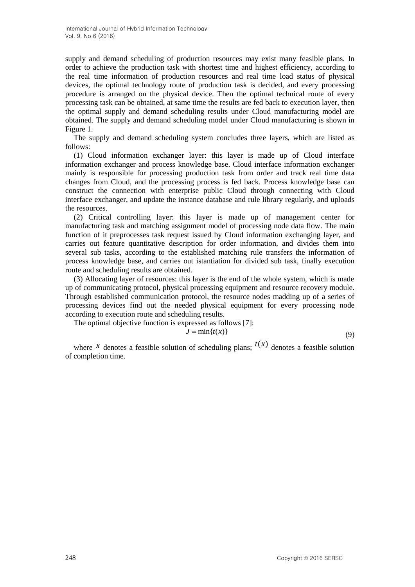supply and demand scheduling of production resources may exist many feasible plans. In order to achieve the production task with shortest time and highest efficiency, according to the real time information of production resources and real time load status of physical devices, the optimal technology route of production task is decided, and every processing procedure is arranged on the physical device. Then the optimal technical route of every processing task can be obtained, at same time the results are fed back to execution layer, then the optimal supply and demand scheduling results under Cloud manufacturing model are obtained. The supply and demand scheduling model under Cloud manufacturing is shown in Figure 1.

The supply and demand scheduling system concludes three layers, which are listed as follows:

(1) Cloud information exchanger layer: this layer is made up of Cloud interface information exchanger and process knowledge base. Cloud interface information exchanger mainly is responsible for processing production task from order and track real time data changes from Cloud, and the processing process is fed back. Process knowledge base can construct the connection with enterprise public Cloud through connecting with Cloud interface exchanger, and update the instance database and rule library regularly, and uploads the resources.

(2) Critical controlling layer: this layer is made up of management center for manufacturing task and matching assignment model of processing node data flow. The main function of it preprocesses task request issued by Cloud information exchanging layer, and carries out feature quantitative description for order information, and divides them into several sub tasks, according to the established matching rule transfers the information of process knowledge base, and carries out istantiation for divided sub task, finally execution route and scheduling results are obtained.

(3) Allocating layer of resources: this layer is the end of the whole system, which is made up of communicating protocol, physical processing equipment and resource recovery module. Through established communication protocol, the resource nodes madding up of a series of processing devices find out the needed physical equipment for every processing node according to execution route and scheduling results.

The optimal objective function is expressed as follows [7]:

$$
J = \min\{t(x)\}\tag{9}
$$

where *x* denotes a feasible solution of scheduling plans;  $t(x)$  denotes a feasible solution of completion time.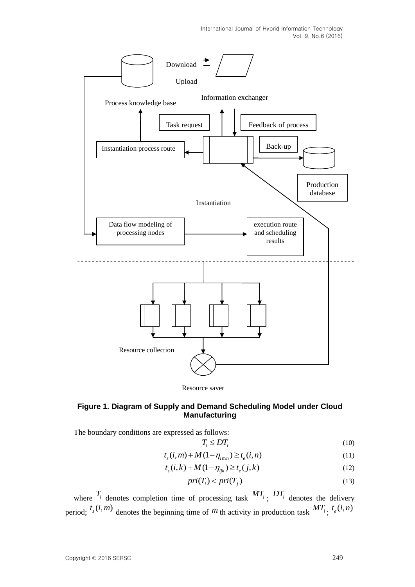International Journal of Hybrid Information Technology Vol. 9, No.6 (2016)



### **Figure 1. Diagram of Supply and Demand Scheduling Model under Cloud Manufacturing**

The boundary conditions are expressed as follows:

$$
T_i \le DT_i \tag{10}
$$

$$
t_i \geq D t_i
$$
\n
$$
t_s(i,m) + M(1 - \eta_{imn}) \geq t_e(i,n)
$$
\n(11)

$$
t_s(i, k) + M(1 - \eta_{ijk}) \ge t_e(i, k)
$$
\n
$$
t_s(i, k) + M(1 - \eta_{ijk}) \ge t_e(j, k)
$$
\n(12)

$$
pri(T_i) < pri(T_j) \tag{13}
$$

where  $T_i$  denotes completion time of processing task  $MT_i$ ;  $DT_i$  denotes the delivery period;  $t_s(i,m)$  denotes the beginning time of m th activity in production task  $MT_i$ ;  $t_e(i,n)$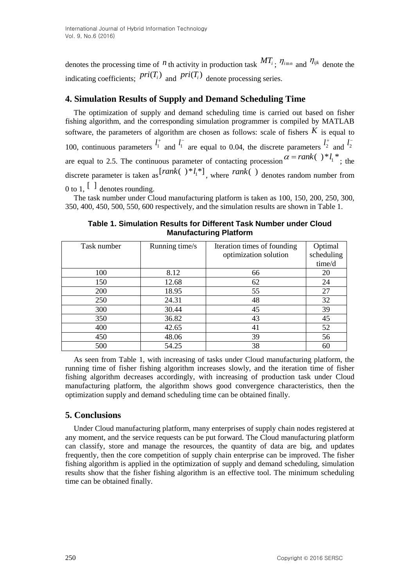denotes the processing time of  $^n$  th activity in production task  $MT_i$ ;  $\eta_{imn}$  and  $\eta_{ijk}$  denote the indicating coefficients;  $pri(T_i)$  and  $pri(T_i)$  denote processing series.

## **4. Simulation Results of Supply and Demand Scheduling Time**

The optimization of supply and demand scheduling time is carried out based on fisher fishing algorithm, and the corresponding simulation programmer is compiled by MATLAB software, the parameters of algorithm are chosen as follows: scale of fishers  $K$  is equal to 100, continuous parameters  $l_1^+$  and  $l_1^-$  are equal to 0.04, the discrete parameters  $l_2^+$  and  $l_2^$ are equal to 2.5. The continuous parameter of contacting procession  $\alpha = rank( )^*l_1^*$ ; the discrete parameter is taken as  $[rank( ) * l_1^*]$ , where  $rank( )$  denotes random number from 0 to 1,  $\begin{bmatrix} 1 \end{bmatrix}$  denotes rounding.

The task number under Cloud manufacturing platform is taken as 100, 150, 200, 250, 300, 350, 400, 450, 500, 550, 600 respectively, and the simulation results are shown in Table 1.

| Task number | Running time/s | Iteration times of founding | Optimal    |
|-------------|----------------|-----------------------------|------------|
|             |                | optimization solution       | scheduling |
|             |                |                             | time/d     |
| 100         | 8.12           | 66                          | 20         |
| 150         | 12.68          | 62                          | 24         |
| 200         | 18.95          | 55                          | 27         |
| 250         | 24.31          | 48                          | 32         |
| 300         | 30.44          | 45                          | 39         |
| 350         | 36.82          | 43                          | 45         |
| 400         | 42.65          | 41                          | 52         |
| 450         | 48.06          | 39                          | 56         |
| 500         | 54.25          | 38                          | 60         |

**Table 1. Simulation Results for Different Task Number under Cloud Manufacturing Platform**

As seen from Table 1, with increasing of tasks under Cloud manufacturing platform, the running time of fisher fishing algorithm increases slowly, and the iteration time of fisher fishing algorithm decreases accordingly, with increasing of production task under Cloud manufacturing platform, the algorithm shows good convergence characteristics, then the optimization supply and demand scheduling time can be obtained finally.

### **5. Conclusions**

Under Cloud manufacturing platform, many enterprises of supply chain nodes registered at any moment, and the service requests can be put forward. The Cloud manufacturing platform can classify, store and manage the resources, the quantity of data are big, and updates frequently, then the core competition of supply chain enterprise can be improved. The fisher fishing algorithm is applied in the optimization of supply and demand scheduling, simulation results show that the fisher fishing algorithm is an effective tool. The minimum scheduling time can be obtained finally.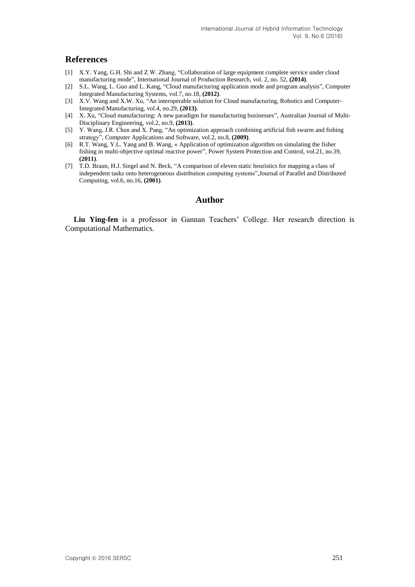#### **References**

- [1] X.Y. Yang, G.H. Shi and Z.W. Zhang, "Collaboration of large equipment complete service under cloud manufacturing mode", International Journal of Production Research, vol. 2, no. 52, **(2014)**.
- [2] S.L. Wang, L. Guo and L. Kang, "Cloud manufacturing application mode and program analysis", Computer Integrated Manufacturing Systems, vol.7, no.18, **(2012)**.
- [3] X.V. Wang and X.W. Xu, "An interoperable solution for Cloud manufacturing, Robotics and Computer-Integrated Manufacturing, vol.4, no.29, **(2013)**.
- [4] X. Xu, "Cloud manufacturing: A new paradigm for manufacturing businesses", Australian Journal of Multi-Disciplinary Engineering, vol.2, no.9, **(2013)**.
- [5] Y. Wang, J.R. Chen and X. Pang, "An optimization approach combining artificial fish swarm and fishing strategy", Computer Applications and Software, vol.2, no.8, **(2009)**.
- [6] R.T. Wang, Y.L. Yang and B. Wang, « Application of optimization algorithm on simulating the fisher fishing in multi-objective optimal reactive power", Power System Protection and Control, vol.21, no.39, **(2011)**.
- [7] T.D. Braun, H.J. Siegel and N. Beck, "A comparison of eleven static heuristics for mapping a class of independent tasks onto heterogeneous distribution computing systems",Journal of Parallel and Distributed Computing, vol.6, no.16, **(2001)**.

### **Author**

**Liu Ying-fen** is a professor in Gannan Teachers' College. Her research direction is Computational Mathematics.